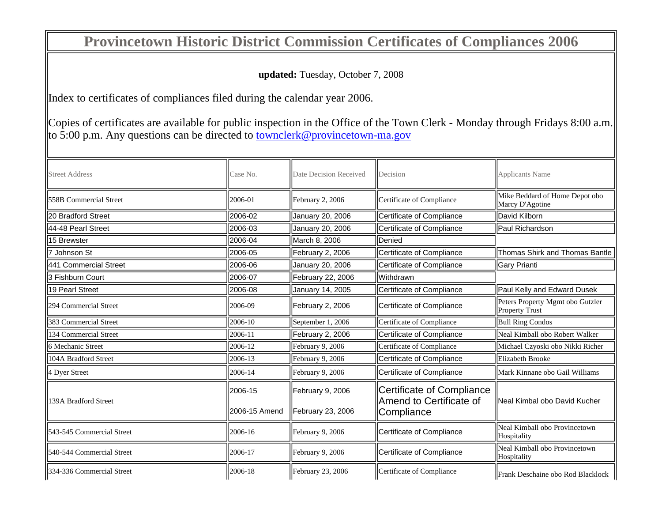## **Provincetown Historic District Commission Certificates of Compliances 2006**

## **updated:** Tuesday, October 7, 2008

Index to certificates of compliances filed during the calendar year 2006.

Copies of certificates are available for public inspection in the Office of the Town Clerk - Monday through Fridays 8:00 a.m. to 5:00 p.m. Any questions can be directed to townclerk@provincetown-ma.gov

| <b>Street Address</b>     | Case No.                  | Date Decision Received                | Decision                                                           | <b>Applicants Name</b>                                      |
|---------------------------|---------------------------|---------------------------------------|--------------------------------------------------------------------|-------------------------------------------------------------|
| 558B Commercial Street    | 2006-01                   | February 2, 2006                      | Certificate of Compliance                                          | Mike Beddard of Home Depot obo<br>Marcy D'Agotine           |
| 20 Bradford Street        | 2006-02                   | January 20, 2006                      | Certificate of Compliance                                          | David Kilborn                                               |
| 44-48 Pearl Street        | 2006-03                   | January 20, 2006                      | Certificate of Compliance                                          | <b>Paul Richardson</b>                                      |
| 15 Brewster               | 2006-04                   | March 8, 2006                         | <b>IDenied</b>                                                     |                                                             |
| 7 Johnson St              | 2006-05                   | February 2, 2006                      | Certificate of Compliance                                          | Thomas Shirk and Thomas Bantle                              |
| 441 Commercial Street     | 2006-06                   | January 20, 2006                      | Certificate of Compliance                                          | Gary Prianti                                                |
| 3 Fishburn Court          | 2006-07                   | February 22, 2006                     | Withdrawn                                                          |                                                             |
| 19 Pearl Street           | 2006-08                   | January 14, 2005                      | Certificate of Compliance                                          | Paul Kelly and Edward Dusek                                 |
| 294 Commercial Street     | 2006-09                   | February 2, 2006                      | Certificate of Compliance                                          | Peters Property Mgmt obo Gutzler<br>Property Trust          |
| 383 Commercial Street     | 2006-10                   | September 1, 2006                     | Certificate of Compliance                                          | <b>Bull Ring Condos</b>                                     |
| 134 Commercial Street     | 2006-11                   | February 2, 2006                      | Certificate of Compliance                                          | Neal Kimball obo Robert Walker                              |
| 6 Mechanic Street         | 2006-12                   | February 9, 2006                      | Certificate of Compliance                                          | Michael Czyoski obo Nikki Richer                            |
| 104A Bradford Street      | 2006-13                   | February 9, 2006                      | Certificate of Compliance                                          | Elizabeth Brooke                                            |
| 4 Dyer Street             | 2006-14                   | February 9, 2006                      | Certificate of Compliance                                          | Mark Kinnane obo Gail Williams                              |
| 139A Bradford Street      | l2006-15<br>2006-15 Amend | February 9, 2006<br>February 23, 2006 | Certificate of Compliance<br>Amend to Certificate of<br>Compliance | Neal Kimbal obo David Kucher                                |
| 543-545 Commercial Street | 2006-16                   | February 9, 2006                      | Certificate of Compliance                                          | Neal Kimball obo Provincetown                               |
| 540-544 Commercial Street | 2006-17                   | February 9, 2006                      | Certificate of Compliance                                          | Hospitality<br>Neal Kimball obo Provincetown<br>Hospitality |
| 334-336 Commercial Street | 2006-18                   | February 23, 2006                     | Certificate of Compliance                                          | Frank Deschaine obo Rod Blacklock                           |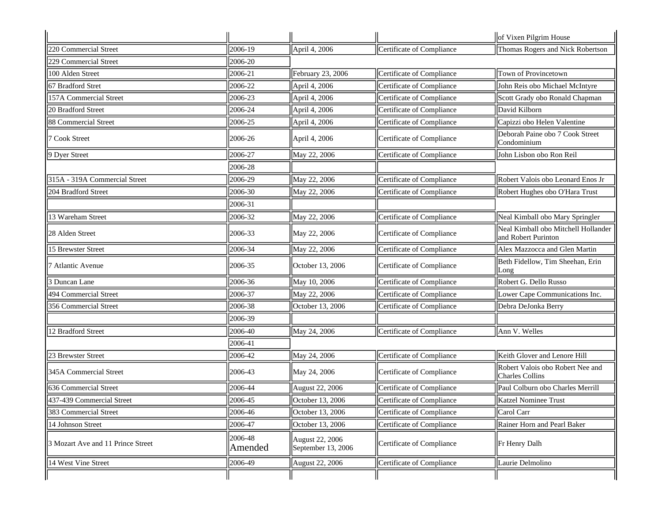|                                   |                    |                                       |                           | of Vixen Pilgrim House                                     |
|-----------------------------------|--------------------|---------------------------------------|---------------------------|------------------------------------------------------------|
| 220 Commercial Street             | 2006-19            | April 4, 2006                         | Certificate of Compliance | Thomas Rogers and Nick Robertson                           |
| 229 Commercial Street             | 2006-20            |                                       |                           |                                                            |
| 100 Alden Street                  | 2006-21            | February 23, 2006                     | Certificate of Compliance | Town of Provincetown                                       |
| 67 Bradford Stret                 | 2006-22            | April 4, 2006                         | Certificate of Compliance | John Reis obo Michael McIntyre                             |
| 157A Commercial Street            | 2006-23            | April 4, 2006                         | Certificate of Compliance | Scott Grady obo Ronald Chapman                             |
| 20 Bradford Street                | 2006-24            | April 4, 2006                         | Certificate of Compliance | David Kilborn                                              |
| 88 Commercial Street              | 2006-25            | April 4, 2006                         | Certificate of Compliance | Capizzi obo Helen Valentine                                |
| 7 Cook Street                     | 2006-26            | April 4, 2006                         | Certificate of Compliance | Deborah Paine obo 7 Cook Street<br>Condominium             |
| 9 Dyer Street                     | 2006-27            | May 22, 2006                          | Certificate of Compliance | John Lisbon obo Ron Reil                                   |
|                                   | 2006-28            |                                       |                           |                                                            |
| 315A - 319A Commercial Street     | 2006-29            | May 22, 2006                          | Certificate of Compliance | Robert Valois obo Leonard Enos Jr                          |
| 204 Bradford Street               | 2006-30            | May 22, 2006                          | Certificate of Compliance | Robert Hughes obo O'Hara Trust                             |
|                                   | 2006-31            |                                       |                           |                                                            |
| 13 Wareham Street                 | 2006-32            | May 22, 2006                          | Certificate of Compliance | Neal Kimball obo Mary Springler                            |
| 28 Alden Street                   | 2006-33            | May 22, 2006                          | Certificate of Compliance | Neal Kimball obo Mitchell Hollander<br>and Robert Purinton |
| 15 Brewster Street                | 2006-34            | May 22, 2006                          | Certificate of Compliance | Alex Mazzocca and Glen Martin                              |
| 7 Atlantic Avenue                 | 2006-35            | October 13, 2006                      | Certificate of Compliance | Beth Fidellow, Tim Sheehan, Erin<br>Long                   |
| 3 Duncan Lane                     | 2006-36            | May 10, 2006                          | Certificate of Compliance | Robert G. Dello Russo                                      |
| 494 Commercial Street             | 2006-37            | May 22, 2006                          | Certificate of Compliance | Lower Cape Communications Inc.                             |
| 356 Commercial Street             | 2006-38            | October 13, 2006                      | Certificate of Compliance | Debra DeJonka Berry                                        |
|                                   | 2006-39            |                                       |                           |                                                            |
| 12 Bradford Street                | 2006-40            | May 24, 2006                          | Certificate of Compliance | Ann V. Welles                                              |
|                                   | 2006-41            |                                       |                           |                                                            |
| 23 Brewster Street                | 2006-42            | May 24, 2006                          | Certificate of Compliance | Keith Glover and Lenore Hill                               |
| 345A Commercial Street            | 2006-43            | May 24, 2006                          | Certificate of Compliance | Robert Valois obo Robert Nee and<br><b>Charles Collins</b> |
| 636 Commercial Street             | 2006-44            | August 22, 2006                       | Certificate of Compliance | Paul Colburn obo Charles Merrill                           |
| 437-439 Commercial Street         | 2006-45            | October 13, 2006                      | Certificate of Compliance | Katzel Nominee Trust                                       |
| 383 Commercial Street             | 2006-46            | October 13, 2006                      | Certificate of Compliance | Carol Carr                                                 |
| 14 Johnson Street                 | 2006-47            | October 13, 2006                      | Certificate of Compliance | Rainer Horn and Pearl Baker                                |
| 3 Mozart Ave and 11 Prince Street | 2006-48<br>Amended | August 22, 2006<br>September 13, 2006 | Certificate of Compliance | Fr Henry Dalh                                              |
| 14 West Vine Street               | 2006-49            | August 22, 2006                       | Certificate of Compliance | Laurie Delmolino                                           |
|                                   |                    |                                       |                           |                                                            |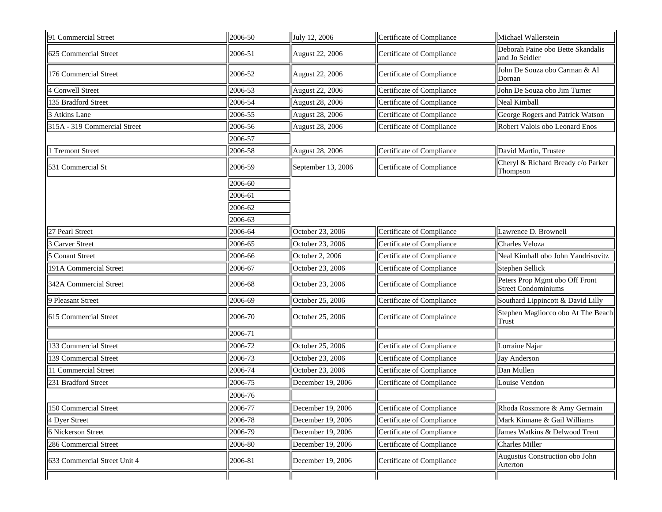| 91 Commercial Street         | 2006-50 | July 12, 2006          | Certificate of Compliance | Michael Wallerstein                                          |
|------------------------------|---------|------------------------|---------------------------|--------------------------------------------------------------|
| 625 Commercial Street        | 2006-51 | August 22, 2006        | Certificate of Compliance | Deborah Paine obo Bette Skandalis<br>and Jo Seidler          |
| 176 Commercial Street        | 2006-52 | August 22, 2006        | Certificate of Compliance | John De Souza obo Carman & Al<br>Dornan                      |
| <b>4 Conwell Street</b>      | 2006-53 | August 22, 2006        | Certificate of Compliance | John De Souza obo Jim Turner                                 |
| 135 Bradford Street          | 2006-54 | August 28, 2006        | Certificate of Compliance | Neal Kimball                                                 |
| 3 Atkins Lane                | 2006-55 | <b>August 28, 2006</b> | Certificate of Compliance | George Rogers and Patrick Watson                             |
| 315A - 319 Commercial Street | 2006-56 | August 28, 2006        | Certificate of Compliance | Robert Valois obo Leonard Enos                               |
|                              | 2006-57 |                        |                           |                                                              |
| 1 Tremont Street             | 2006-58 | August 28, 2006        | Certificate of Compliance | David Martin, Trustee                                        |
| 531 Commercial St            | 2006-59 | September 13, 2006     | Certificate of Compliance | Cheryl & Richard Bready c/o Parker<br>Thompson               |
|                              | 2006-60 |                        |                           |                                                              |
|                              | 2006-61 |                        |                           |                                                              |
|                              | 2006-62 |                        |                           |                                                              |
|                              | 2006-63 |                        |                           |                                                              |
| 27 Pearl Street              | 2006-64 | October 23, 2006       | Certificate of Compliance | Lawrence D. Brownell                                         |
| 3 Carver Street              | 2006-65 | October 23, 2006       | Certificate of Compliance | Charles Veloza                                               |
| 5 Conant Street              | 2006-66 | October 2, 2006        | Certificate of Compliance | Neal Kimball obo John Yandrisovitz                           |
| 191A Commercial Street       | 2006-67 | October 23, 2006       | Certificate of Compliance | Stephen Sellick                                              |
| 342A Commercial Street       | 2006-68 | October 23, 2006       | Certificate of Compliance | Peters Prop Mgmt obo Off Front<br><b>Street Condominiums</b> |
| 9 Pleasant Street            | 2006-69 | October 25, 2006       | Certificate of Compliance | Southard Lippincott & David Lilly                            |
| 615 Commercial Street        | 2006-70 | October 25, 2006       | Certificate of Complaince | Stephen Magliocco obo At The Beach<br>Trust                  |
|                              | 2006-71 |                        |                           |                                                              |
| 133 Commercial Street        | 2006-72 | October 25, 2006       | Certificate of Compliance | Lorraine Najar                                               |
| 139 Commercial Street        | 2006-73 | October 23, 2006       | Certificate of Compliance | Jay Anderson                                                 |
| 11 Commercial Street         | 2006-74 | October 23, 2006       | Certificate of Compliance | Dan Mullen                                                   |
| 231 Bradford Street          | 2006-75 | December 19, 2006      | Certificate of Compliance | Louise Vendon                                                |
|                              | 2006-76 |                        |                           |                                                              |
| 150 Commercial Street        | 2006-77 | December 19, 2006      | Certificate of Compliance | Rhoda Rossmore & Amy Germain                                 |
| 4 Dyer Street                | 2006-78 | December 19, 2006      | Certificate of Compliance | Mark Kinnane & Gail Williams                                 |
| 6 Nickerson Street           | 2006-79 | December 19, 2006      | Certificate of Compliance | James Watkins & Delwood Trent                                |
| 286 Commercial Street        | 2006-80 | December 19, 2006      | Certificate of Compliance | Charles Miller                                               |
| 633 Commercial Street Unit 4 | 2006-81 | December 19, 2006      | Certificate of Compliance | Augustus Construction obo John<br>Arterton                   |
|                              |         |                        |                           |                                                              |